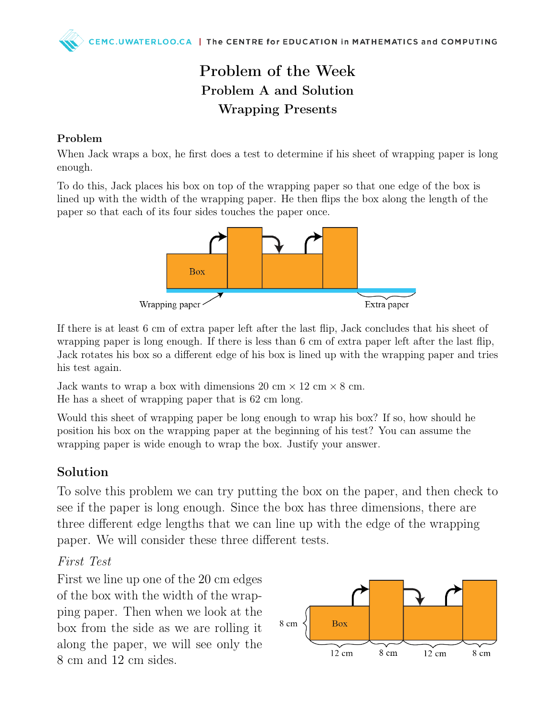## Problem of the Week Problem A and Solution Wrapping Presents

#### Problem

When Jack wraps a box, he first does a test to determine if his sheet of wrapping paper is long enough.

To do this, Jack places his box on top of the wrapping paper so that one edge of the box is lined up with the width of the wrapping paper. He then flips the box along the length of the paper so that each of its four sides touches the paper once.



If there is at least 6 cm of extra paper left after the last flip, Jack concludes that his sheet of wrapping paper is long enough. If there is less than 6 cm of extra paper left after the last flip, Jack rotates his box so a different edge of his box is lined up with the wrapping paper and tries his test again.

Jack wants to wrap a box with dimensions 20 cm  $\times$  12 cm  $\times$  8 cm. He has a sheet of wrapping paper that is 62 cm long.

Would this sheet of wrapping paper be long enough to wrap his box? If so, how should he position his box on the wrapping paper at the beginning of his test? You can assume the wrapping paper is wide enough to wrap the box. Justify your answer.

### Solution

To solve this problem we can try putting the box on the paper, and then check to see if the paper is long enough. Since the box has three dimensions, there are three different edge lengths that we can line up with the edge of the wrapping paper. We will consider these three different tests.

### First Test

First we line up one of the 20 cm edges of the box with the width of the wrapping paper. Then when we look at the box from the side as we are rolling it along the paper, we will see only the 8 cm and 12 cm sides.

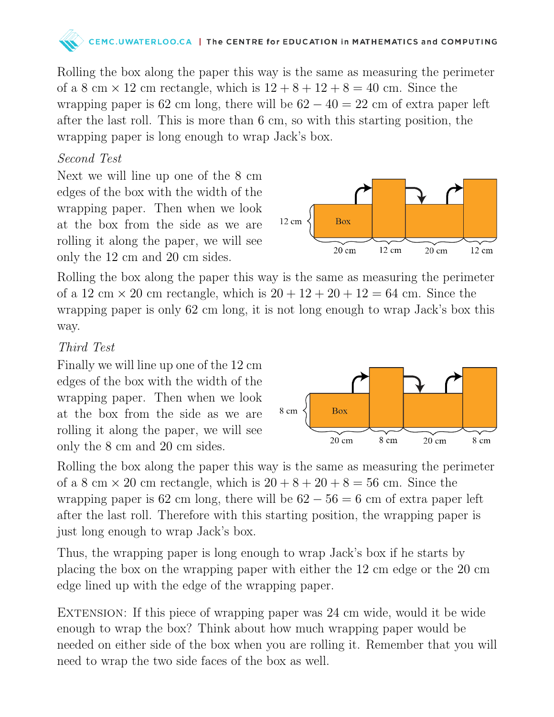# C.UWATERLOO.CA | The CENTRE for EDUCATION in MATHEMATICS and COMPUTING

Rolling the box along the paper this way is the same as measuring the perimeter of a 8 cm  $\times$  12 cm rectangle, which is  $12 + 8 + 12 + 8 = 40$  cm. Since the wrapping paper is 62 cm long, there will be  $62 - 40 = 22$  cm of extra paper left after the last roll. This is more than 6 cm, so with this starting position, the wrapping paper is long enough to wrap Jack's box.

### Second Test

Next we will line up one of the 8 cm edges of the box with the width of the wrapping paper. Then when we look at the box from the side as we are rolling it along the paper, we will see only the 12 cm and 20 cm sides.

 $12 \text{ cm}$ **Box** 12 cm  $20 \text{ cm}$  $20 \text{ cm}$ 12 cm

Rolling the box along the paper this way is the same as measuring the perimeter of a 12 cm  $\times$  20 cm rectangle, which is  $20 + 12 + 20 + 12 = 64$  cm. Since the wrapping paper is only 62 cm long, it is not long enough to wrap Jack's box this way.

### Third Test

Finally we will line up one of the 12 cm edges of the box with the width of the wrapping paper. Then when we look at the box from the side as we are rolling it along the paper, we will see only the 8 cm and 20 cm sides.



Rolling the box along the paper this way is the same as measuring the perimeter of a 8 cm  $\times$  20 cm rectangle, which is  $20 + 8 + 20 + 8 = 56$  cm. Since the wrapping paper is 62 cm long, there will be  $62 - 56 = 6$  cm of extra paper left after the last roll. Therefore with this starting position, the wrapping paper is just long enough to wrap Jack's box.

Thus, the wrapping paper is long enough to wrap Jack's box if he starts by placing the box on the wrapping paper with either the 12 cm edge or the 20 cm edge lined up with the edge of the wrapping paper.

EXTENSION: If this piece of wrapping paper was 24 cm wide, would it be wide enough to wrap the box? Think about how much wrapping paper would be needed on either side of the box when you are rolling it. Remember that you will need to wrap the two side faces of the box as well.